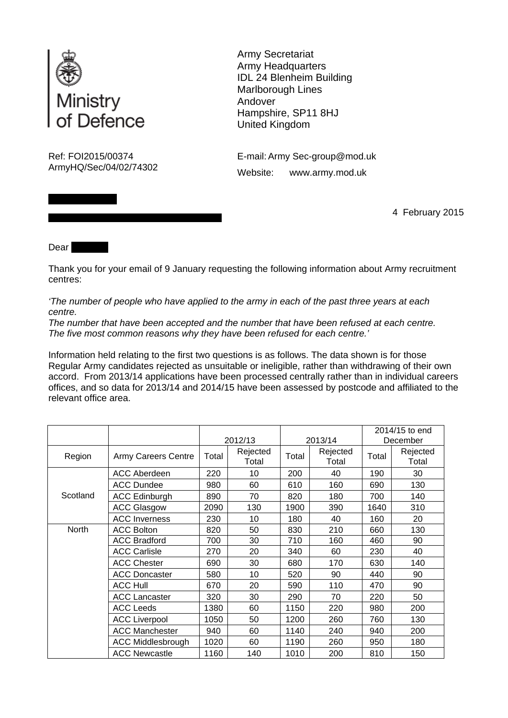

||||| |||||||||||| |||||||||

Army Secretariat Army Headquarters IDL 24 Blenheim Building Marlborough Lines Andover Hampshire, SP11 8HJ United Kingdom

Ref: FOI2015/00374 E-mail: Army Sec-group@mod.uk ArmyHQ/Sec/04/02/74302 Website: www.army.mod.uk

||||||||||||||||||||||||||||||||||||||||||||||||||||||||||||||||||||||||||||||||||||||| 4 February 2015

Dear ||

Thank you for your email of 9 January requesting the following information about Army recruitment centres:

*'The number of people who have applied to the army in each of the past three years at each centre.* 

*The number that have been accepted and the number that have been refused at each centre. The five most common reasons why they have been refused for each centre.'*

Information held relating to the first two questions is as follows. The data shown is for those Regular Army candidates rejected as unsuitable or ineligible, rather than withdrawing of their own accord. From 2013/14 applications have been processed centrally rather than in individual careers offices, and so data for 2013/14 and 2014/15 have been assessed by postcode and affiliated to the relevant office area.

|          |                            | 2012/13 |                   | 2013/14 |                   | 2014/15 to end |                   |
|----------|----------------------------|---------|-------------------|---------|-------------------|----------------|-------------------|
|          |                            |         |                   |         |                   | December       |                   |
| Region   | <b>Army Careers Centre</b> | Total   | Rejected<br>Total | Total   | Rejected<br>Total | Total          | Rejected<br>Total |
| Scotland | <b>ACC Aberdeen</b>        | 220     | 10                | 200     | 40                | 190            | 30                |
|          | <b>ACC Dundee</b>          | 980     | 60                | 610     | 160               | 690            | 130               |
|          | <b>ACC Edinburgh</b>       | 890     | 70                | 820     | 180               | 700            | 140               |
|          | <b>ACC Glasgow</b>         | 2090    | 130               | 1900    | 390               | 1640           | 310               |
|          | <b>ACC Inverness</b>       | 230     | 10                | 180     | 40                | 160            | 20                |
| North    | <b>ACC Bolton</b>          | 820     | 50                | 830     | 210               | 660            | 130               |
|          | <b>ACC Bradford</b>        | 700     | 30                | 710     | 160               | 460            | 90                |
|          | <b>ACC Carlisle</b>        | 270     | 20                | 340     | 60                | 230            | 40                |
|          | <b>ACC Chester</b>         | 690     | 30                | 680     | 170               | 630            | 140               |
|          | <b>ACC Doncaster</b>       | 580     | 10                | 520     | 90                | 440            | 90                |
|          | <b>ACC Hull</b>            | 670     | 20                | 590     | 110               | 470            | 90                |
|          | <b>ACC Lancaster</b>       | 320     | 30                | 290     | 70                | 220            | 50                |
|          | <b>ACC Leeds</b>           | 1380    | 60                | 1150    | 220               | 980            | 200               |
|          | <b>ACC Liverpool</b>       | 1050    | 50                | 1200    | 260               | 760            | 130               |
|          | <b>ACC Manchester</b>      | 940     | 60                | 1140    | 240               | 940            | 200               |
|          | <b>ACC Middlesbrough</b>   | 1020    | 60                | 1190    | 260               | 950            | 180               |
|          | <b>ACC Newcastle</b>       | 1160    | 140               | 1010    | 200               | 810            | 150               |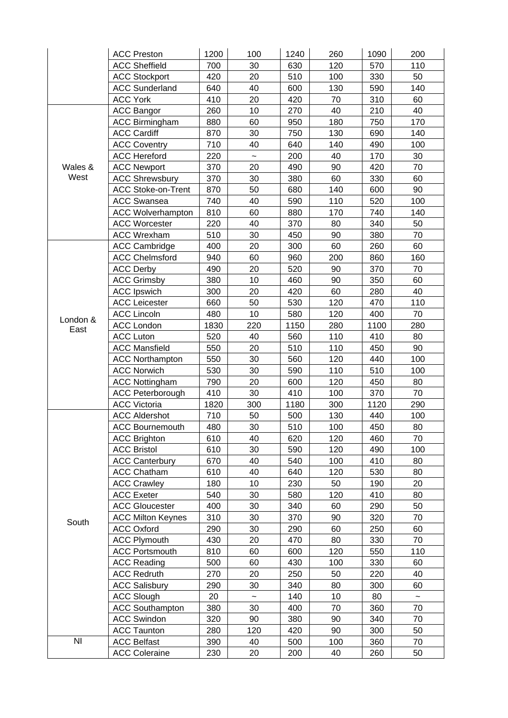|                  | <b>ACC Preston</b>        | 1200 | 100                   | 1240 | 260 | 1090 | 200                       |
|------------------|---------------------------|------|-----------------------|------|-----|------|---------------------------|
|                  | <b>ACC Sheffield</b>      | 700  | 30                    | 630  | 120 | 570  | 110                       |
|                  | <b>ACC Stockport</b>      | 420  | 20                    | 510  | 100 | 330  | 50                        |
|                  | <b>ACC Sunderland</b>     | 640  | 40                    | 600  | 130 | 590  | 140                       |
|                  | <b>ACC York</b>           | 410  | 20                    | 420  | 70  | 310  | 60                        |
|                  | <b>ACC Bangor</b>         | 260  | 10                    | 270  | 40  | 210  | 40                        |
|                  | <b>ACC Birmingham</b>     | 880  | 60                    | 950  | 180 | 750  | 170                       |
|                  | <b>ACC Cardiff</b>        | 870  | 30                    | 750  | 130 | 690  | 140                       |
|                  | <b>ACC Coventry</b>       | 710  | 40                    | 640  | 140 | 490  | 100                       |
|                  | <b>ACC Hereford</b>       | 220  | $\tilde{\phantom{a}}$ | 200  | 40  | 170  | 30                        |
| Wales &          | <b>ACC Newport</b>        | 370  | 20                    | 490  | 90  | 420  | 70                        |
| West             | <b>ACC Shrewsbury</b>     | 370  | 30                    | 380  | 60  | 330  | 60                        |
|                  | <b>ACC Stoke-on-Trent</b> | 870  | 50                    | 680  | 140 | 600  | 90                        |
|                  | <b>ACC Swansea</b>        | 740  | 40                    | 590  | 110 | 520  | 100                       |
|                  | <b>ACC Wolverhampton</b>  | 810  | 60                    | 880  | 170 | 740  | 140                       |
|                  | <b>ACC Worcester</b>      | 220  | 40                    | 370  | 80  | 340  | 50                        |
|                  | <b>ACC Wrexham</b>        | 510  | 30                    | 450  | 90  | 380  | 70                        |
|                  | <b>ACC Cambridge</b>      | 400  | 20                    | 300  | 60  | 260  | 60                        |
|                  | <b>ACC Chelmsford</b>     | 940  | 60                    | 960  | 200 | 860  | 160                       |
|                  | <b>ACC Derby</b>          | 490  | 20                    | 520  | 90  | 370  | 70                        |
|                  | <b>ACC Grimsby</b>        | 380  | 10                    | 460  | 90  | 350  | 60                        |
|                  | <b>ACC Ipswich</b>        | 300  | 20                    | 420  | 60  | 280  | 40                        |
|                  | <b>ACC Leicester</b>      | 660  | 50                    | 530  | 120 | 470  | 110                       |
|                  | <b>ACC Lincoln</b>        | 480  | 10                    | 580  | 120 | 400  | 70                        |
| London &<br>East | <b>ACC London</b>         | 1830 | 220                   | 1150 | 280 | 1100 | 280                       |
|                  | <b>ACC Luton</b>          | 520  | 40                    | 560  | 110 | 410  | 80                        |
|                  | <b>ACC Mansfield</b>      | 550  | 20                    | 510  | 110 | 450  | 90                        |
|                  | <b>ACC Northampton</b>    | 550  | 30                    | 560  | 120 | 440  | 100                       |
|                  | <b>ACC Norwich</b>        | 530  | 30                    | 590  | 110 | 510  | 100                       |
|                  | <b>ACC Nottingham</b>     | 790  | 20                    | 600  | 120 | 450  | 80                        |
|                  | <b>ACC Peterborough</b>   | 410  | 30                    | 410  | 100 | 370  | 70                        |
|                  | <b>ACC Victoria</b>       | 1820 | 300                   | 1180 | 300 | 1120 | 290                       |
|                  | <b>ACC Aldershot</b>      | 710  | 50                    | 500  | 130 | 440  | 100                       |
|                  | <b>ACC Bournemouth</b>    | 480  | 30                    | 510  | 100 | 450  | 80                        |
|                  | <b>ACC Brighton</b>       | 610  | 40                    | 620  | 120 | 460  | 70                        |
|                  | <b>ACC Bristol</b>        | 610  | 30                    | 590  | 120 | 490  | 100                       |
|                  | <b>ACC Canterbury</b>     | 670  | 40                    | 540  | 100 | 410  | 80                        |
| South            | <b>ACC Chatham</b>        | 610  | 40                    | 640  | 120 | 530  | 80                        |
|                  | <b>ACC Crawley</b>        | 180  | 10                    | 230  | 50  | 190  | 20                        |
|                  | <b>ACC Exeter</b>         | 540  | 30                    | 580  | 120 | 410  | 80                        |
|                  | <b>ACC Gloucester</b>     | 400  | 30                    | 340  | 60  | 290  | 50                        |
|                  | <b>ACC Milton Keynes</b>  | 310  | 30                    | 370  | 90  | 320  | 70                        |
|                  | <b>ACC Oxford</b>         | 290  | 30                    | 290  | 60  | 250  | 60                        |
|                  | <b>ACC Plymouth</b>       | 430  | 20                    | 470  | 80  | 330  | 70                        |
|                  | <b>ACC Portsmouth</b>     | 810  | 60                    | 600  | 120 | 550  | 110                       |
|                  | <b>ACC Reading</b>        | 500  | 60                    | 430  | 100 | 330  | 60                        |
|                  | <b>ACC Redruth</b>        | 270  | 20                    | 250  | 50  | 220  | 40                        |
|                  | <b>ACC Salisbury</b>      | 290  | 30                    | 340  | 80  | 300  | 60                        |
|                  | <b>ACC Slough</b>         | 20   | $\tilde{}$            | 140  | 10  | 80   | $\widetilde{\phantom{m}}$ |
|                  | <b>ACC Southampton</b>    | 380  | 30                    | 400  | 70  | 360  | 70                        |
|                  | <b>ACC Swindon</b>        | 320  | 90                    | 380  | 90  | 340  | 70                        |
|                  | <b>ACC Taunton</b>        | 280  | 120                   | 420  | 90  | 300  | 50                        |
| N <sub>l</sub>   | <b>ACC Belfast</b>        | 390  | 40                    | 500  | 100 | 360  | 70                        |
|                  | <b>ACC Coleraine</b>      | 230  | 20                    | 200  | 40  | 260  | 50                        |